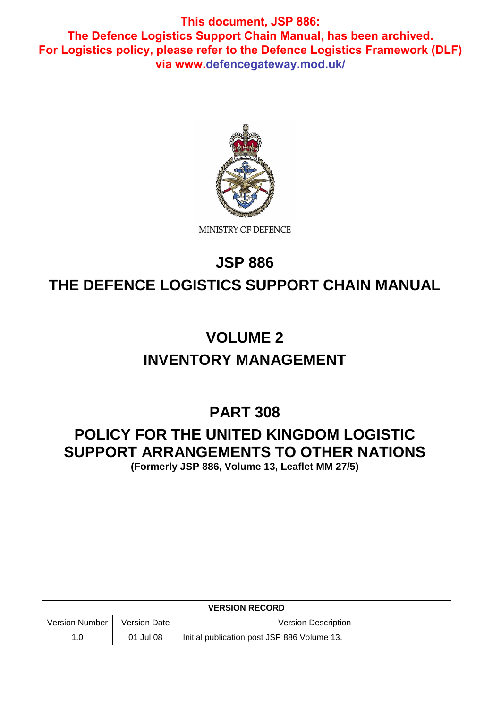

# **JSP 886 THE DEFENCE LOGISTICS SUPPORT CHAIN MANUAL**

# **VOLUME 2 INVENTORY MANAGEMENT**

## **PART 308**

## **POLICY FOR THE UNITED KINGDOM LOGISTIC SUPPORT ARRANGEMENTS TO OTHER NATIONS**

**(Formerly JSP 886, Volume 13, Leaflet MM 27/5)**

| <b>VERSION RECORD</b> |              |                                             |
|-----------------------|--------------|---------------------------------------------|
| <b>Version Number</b> | Version Date | Version Description                         |
| 1.0                   | 01 Jul 08    | Initial publication post JSP 886 Volume 13. |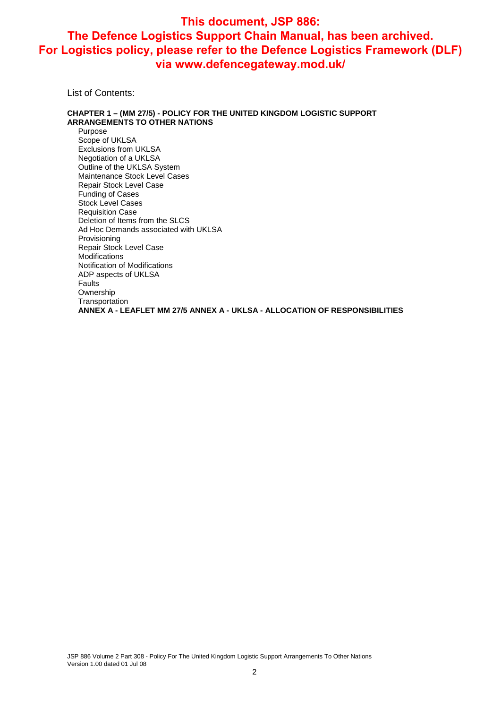List of Contents:

#### **CHAPTER 1 – (MM 27/5) - POLICY FOR THE UNITED KINGDOM LOGISTIC SUPPORT ARRANGEMENTS TO OTHER NATIONS**

Purpose Scope of UKLSA Exclusions from UKLSA Negotiation of a UKLSA Outline of the UKLSA System Maintenance Stock Level Cases Repair Stock Level Case Funding of Cases Stock Level Cases Requisition Case Deletion of Items from the SLCS Ad Hoc Demands associated with UKLSA Provisioning Repair Stock Level Case Modifications Notification of Modifications ADP aspects of UKLSA Faults **Ownership Transportation ANNEX A - LEAFLET MM 27/5 ANNEX A - UKLSA - ALLOCATION OF RESPONSIBILITIES**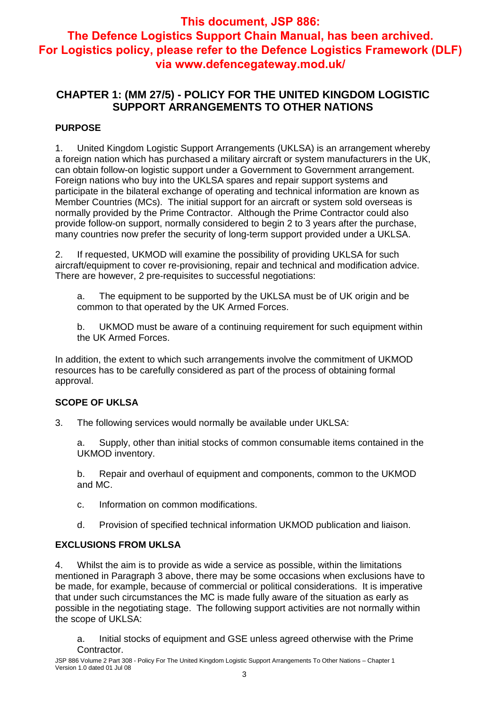### **CHAPTER 1: (MM 27/5) - POLICY FOR THE UNITED KINGDOM LOGISTIC SUPPORT ARRANGEMENTS TO OTHER NATIONS**

#### **PURPOSE**

1. United Kingdom Logistic Support Arrangements (UKLSA) is an arrangement whereby a foreign nation which has purchased a military aircraft or system manufacturers in the UK, can obtain follow-on logistic support under a Government to Government arrangement. Foreign nations who buy into the UKLSA spares and repair support systems and participate in the bilateral exchange of operating and technical information are known as Member Countries (MCs). The initial support for an aircraft or system sold overseas is normally provided by the Prime Contractor. Although the Prime Contractor could also provide follow-on support, normally considered to begin 2 to 3 years after the purchase, many countries now prefer the security of long-term support provided under a UKLSA.

2. If requested, UKMOD will examine the possibility of providing UKLSA for such aircraft/equipment to cover re-provisioning, repair and technical and modification advice. There are however, 2 pre-requisites to successful negotiations:

a. The equipment to be supported by the UKLSA must be of UK origin and be common to that operated by the UK Armed Forces.

b. UKMOD must be aware of a continuing requirement for such equipment within the UK Armed Forces.

In addition, the extent to which such arrangements involve the commitment of UKMOD resources has to be carefully considered as part of the process of obtaining formal approval.

#### **SCOPE OF UKLSA**

3. The following services would normally be available under UKLSA:

a. Supply, other than initial stocks of common consumable items contained in the UKMOD inventory.

b. Repair and overhaul of equipment and components, common to the UKMOD and MC.

- c. Information on common modifications.
- d. Provision of specified technical information UKMOD publication and liaison.

#### **EXCLUSIONS FROM UKLSA**

4. Whilst the aim is to provide as wide a service as possible, within the limitations mentioned in Paragraph 3 above, there may be some occasions when exclusions have to be made, for example, because of commercial or political considerations. It is imperative that under such circumstances the MC is made fully aware of the situation as early as possible in the negotiating stage. The following support activities are not normally within the scope of UKLSA:

a. Initial stocks of equipment and GSE unless agreed otherwise with the Prime Contractor.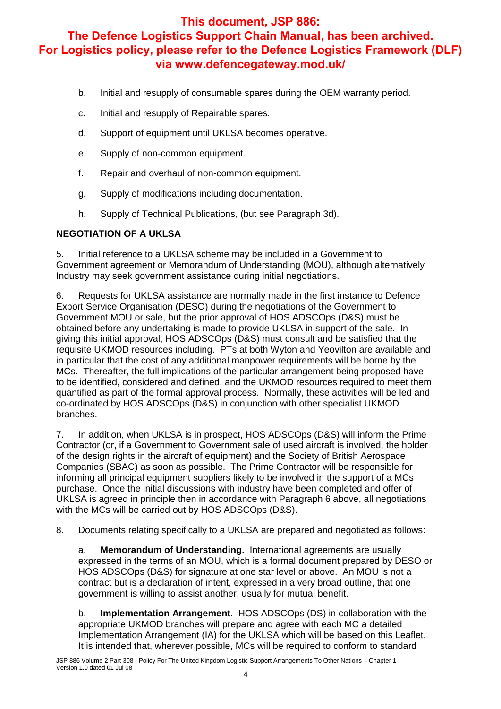- b. Initial and resupply of consumable spares during the OEM warranty period.
- c. Initial and resupply of Repairable spares.
- d. Support of equipment until UKLSA becomes operative.
- e. Supply of non-common equipment.
- f. Repair and overhaul of non-common equipment.
- g. Supply of modifications including documentation.
- h. Supply of Technical Publications, (but see Paragraph 3d).

#### **NEGOTIATION OF A UKLSA**

5. Initial reference to a UKLSA scheme may be included in a Government to Government agreement or Memorandum of Understanding (MOU), although alternatively Industry may seek government assistance during initial negotiations.

6. Requests for UKLSA assistance are normally made in the first instance to Defence Export Service Organisation (DESO) during the negotiations of the Government to Government MOU or sale, but the prior approval of HOS ADSCOps (D&S) must be obtained before any undertaking is made to provide UKLSA in support of the sale. In giving this initial approval, HOS ADSCOps (D&S) must consult and be satisfied that the requisite UKMOD resources including. PTs at both Wyton and Yeovilton are available and in particular that the cost of any additional manpower requirements will be borne by the MCs. Thereafter, the full implications of the particular arrangement being proposed have to be identified, considered and defined, and the UKMOD resources required to meet them quantified as part of the formal approval process. Normally, these activities will be led and co-ordinated by HOS ADSCOps (D&S) in conjunction with other specialist UKMOD branches.

7. In addition, when UKLSA is in prospect, HOS ADSCOps (D&S) will inform the Prime Contractor (or, if a Government to Government sale of used aircraft is involved, the holder of the design rights in the aircraft of equipment) and the Society of British Aerospace Companies (SBAC) as soon as possible. The Prime Contractor will be responsible for informing all principal equipment suppliers likely to be involved in the support of a MCs purchase. Once the initial discussions with industry have been completed and offer of UKLSA is agreed in principle then in accordance with Paragraph 6 above, all negotiations with the MCs will be carried out by HOS ADSCOps (D&S).

8. Documents relating specifically to a UKLSA are prepared and negotiated as follows:

a. **Memorandum of Understanding.** International agreements are usually expressed in the terms of an MOU, which is a formal document prepared by DESO or HOS ADSCOps (D&S) for signature at one star level or above. An MOU is not a contract but is a declaration of intent, expressed in a very broad outline, that one government is willing to assist another, usually for mutual benefit.

b. **Implementation Arrangement.** HOS ADSCOps (DS) in collaboration with the appropriate UKMOD branches will prepare and agree with each MC a detailed Implementation Arrangement (IA) for the UKLSA which will be based on this Leaflet. It is intended that, wherever possible, MCs will be required to conform to standard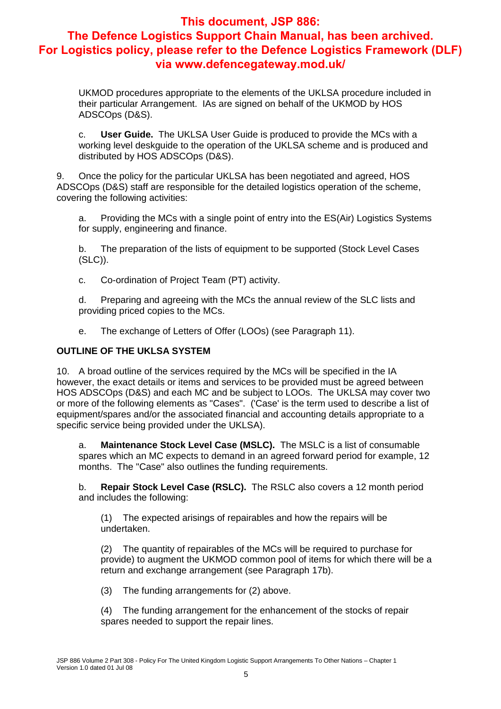UKMOD procedures appropriate to the elements of the UKLSA procedure included in their particular Arrangement. IAs are signed on behalf of the UKMOD by HOS ADSCOps (D&S).

c. **User Guide.** The UKLSA User Guide is produced to provide the MCs with a working level deskguide to the operation of the UKLSA scheme and is produced and distributed by HOS ADSCOps (D&S).

9. Once the policy for the particular UKLSA has been negotiated and agreed, HOS ADSCOps (D&S) staff are responsible for the detailed logistics operation of the scheme, covering the following activities:

a. Providing the MCs with a single point of entry into the ES(Air) Logistics Systems for supply, engineering and finance.

b. The preparation of the lists of equipment to be supported (Stock Level Cases (SLC)).

c. Co-ordination of Project Team (PT) activity.

d. Preparing and agreeing with the MCs the annual review of the SLC lists and providing priced copies to the MCs.

e. The exchange of Letters of Offer (LOOs) (see Paragraph 11).

#### **OUTLINE OF THE UKLSA SYSTEM**

10. A broad outline of the services required by the MCs will be specified in the IA however, the exact details or items and services to be provided must be agreed between HOS ADSCOps (D&S) and each MC and be subject to LOOs. The UKLSA may cover two or more of the following elements as "Cases". ('Case' is the term used to describe a list of equipment/spares and/or the associated financial and accounting details appropriate to a specific service being provided under the UKLSA).

a. **Maintenance Stock Level Case (MSLC).** The MSLC is a list of consumable spares which an MC expects to demand in an agreed forward period for example, 12 months. The "Case" also outlines the funding requirements.

b. **Repair Stock Level Case (RSLC).** The RSLC also covers a 12 month period and includes the following:

(1) The expected arisings of repairables and how the repairs will be undertaken.

(2) The quantity of repairables of the MCs will be required to purchase for provide) to augment the UKMOD common pool of items for which there will be a return and exchange arrangement (see Paragraph 17b).

(3) The funding arrangements for (2) above.

(4) The funding arrangement for the enhancement of the stocks of repair spares needed to support the repair lines.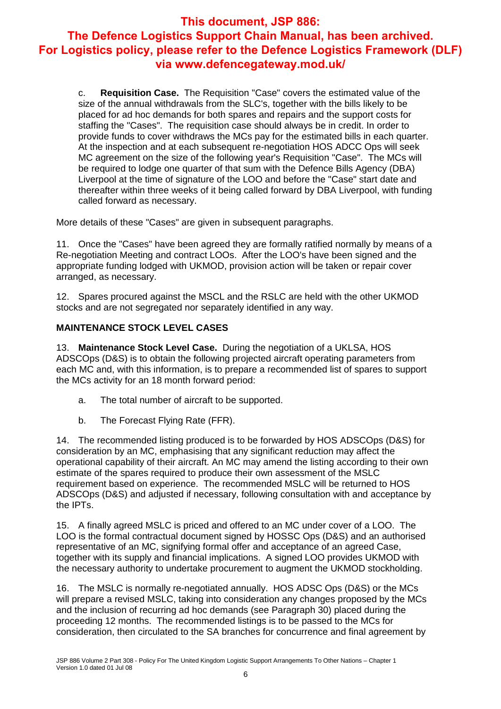c. **Requisition Case.** The Requisition "Case" covers the estimated value of the size of the annual withdrawals from the SLC's, together with the bills likely to be placed for ad hoc demands for both spares and repairs and the support costs for staffing the "Cases". The requisition case should always be in credit. In order to provide funds to cover withdraws the MCs pay for the estimated bills in each quarter. At the inspection and at each subsequent re-negotiation HOS ADCC Ops will seek MC agreement on the size of the following year's Requisition "Case". The MCs will be required to lodge one quarter of that sum with the Defence Bills Agency (DBA) Liverpool at the time of signature of the LOO and before the "Case" start date and thereafter within three weeks of it being called forward by DBA Liverpool, with funding called forward as necessary.

More details of these "Cases" are given in subsequent paragraphs.

11. Once the "Cases" have been agreed they are formally ratified normally by means of a Re-negotiation Meeting and contract LOOs. After the LOO's have been signed and the appropriate funding lodged with UKMOD, provision action will be taken or repair cover arranged, as necessary.

12. Spares procured against the MSCL and the RSLC are held with the other UKMOD stocks and are not segregated nor separately identified in any way.

#### **MAINTENANCE STOCK LEVEL CASES**

13. **Maintenance Stock Level Case.** During the negotiation of a UKLSA, HOS ADSCOps (D&S) is to obtain the following projected aircraft operating parameters from each MC and, with this information, is to prepare a recommended list of spares to support the MCs activity for an 18 month forward period:

- a. The total number of aircraft to be supported.
- b. The Forecast Flying Rate (FFR).

14. The recommended listing produced is to be forwarded by HOS ADSCOps (D&S) for consideration by an MC, emphasising that any significant reduction may affect the operational capability of their aircraft. An MC may amend the listing according to their own estimate of the spares required to produce their own assessment of the MSLC requirement based on experience. The recommended MSLC will be returned to HOS ADSCOps (D&S) and adjusted if necessary, following consultation with and acceptance by the IPTs.

15. A finally agreed MSLC is priced and offered to an MC under cover of a LOO. The LOO is the formal contractual document signed by HOSSC Ops (D&S) and an authorised representative of an MC, signifying formal offer and acceptance of an agreed Case, together with its supply and financial implications. A signed LOO provides UKMOD with the necessary authority to undertake procurement to augment the UKMOD stockholding.

16. The MSLC is normally re-negotiated annually. HOS ADSC Ops (D&S) or the MCs will prepare a revised MSLC, taking into consideration any changes proposed by the MCs and the inclusion of recurring ad hoc demands (see Paragraph 30) placed during the proceeding 12 months. The recommended listings is to be passed to the MCs for consideration, then circulated to the SA branches for concurrence and final agreement by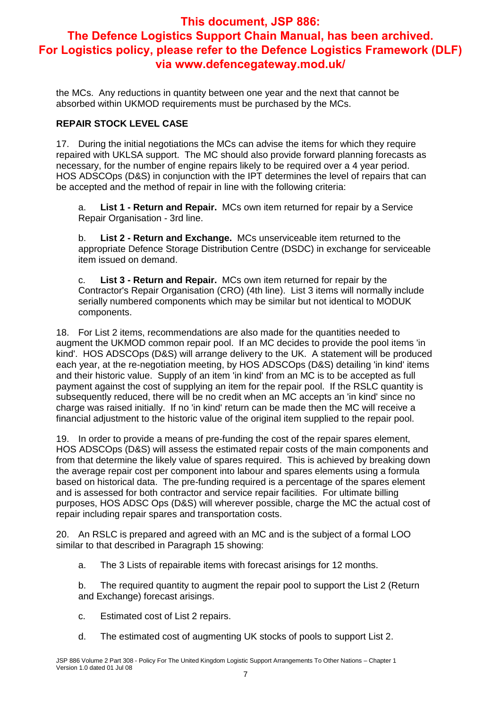the MCs. Any reductions in quantity between one year and the next that cannot be absorbed within UKMOD requirements must be purchased by the MCs.

#### **REPAIR STOCK LEVEL CASE**

17. During the initial negotiations the MCs can advise the items for which they require repaired with UKLSA support. The MC should also provide forward planning forecasts as necessary, for the number of engine repairs likely to be required over a 4 year period. HOS ADSCOps (D&S) in conjunction with the IPT determines the level of repairs that can be accepted and the method of repair in line with the following criteria:

a. **List 1 - Return and Repair.** MCs own item returned for repair by a Service Repair Organisation - 3rd line.

b. **List 2 - Return and Exchange.** MCs unserviceable item returned to the appropriate Defence Storage Distribution Centre (DSDC) in exchange for serviceable item issued on demand.

c. **List 3 - Return and Repair.** MCs own item returned for repair by the Contractor's Repair Organisation (CRO) (4th line). List 3 items will normally include serially numbered components which may be similar but not identical to MODUK components.

18. For List 2 items, recommendations are also made for the quantities needed to augment the UKMOD common repair pool. If an MC decides to provide the pool items 'in kind'. HOS ADSCOps (D&S) will arrange delivery to the UK. A statement will be produced each year, at the re-negotiation meeting, by HOS ADSCOps (D&S) detailing 'in kind' items and their historic value. Supply of an item 'in kind' from an MC is to be accepted as full payment against the cost of supplying an item for the repair pool. If the RSLC quantity is subsequently reduced, there will be no credit when an MC accepts an 'in kind' since no charge was raised initially. If no 'in kind' return can be made then the MC will receive a financial adjustment to the historic value of the original item supplied to the repair pool.

19. In order to provide a means of pre-funding the cost of the repair spares element, HOS ADSCOps (D&S) will assess the estimated repair costs of the main components and from that determine the likely value of spares required. This is achieved by breaking down the average repair cost per component into labour and spares elements using a formula based on historical data. The pre-funding required is a percentage of the spares element and is assessed for both contractor and service repair facilities. For ultimate billing purposes, HOS ADSC Ops (D&S) will wherever possible, charge the MC the actual cost of repair including repair spares and transportation costs.

20. An RSLC is prepared and agreed with an MC and is the subject of a formal LOO similar to that described in Paragraph 15 showing:

a. The 3 Lists of repairable items with forecast arisings for 12 months.

b. The required quantity to augment the repair pool to support the List 2 (Return and Exchange) forecast arisings.

- c. Estimated cost of List 2 repairs.
- d. The estimated cost of augmenting UK stocks of pools to support List 2.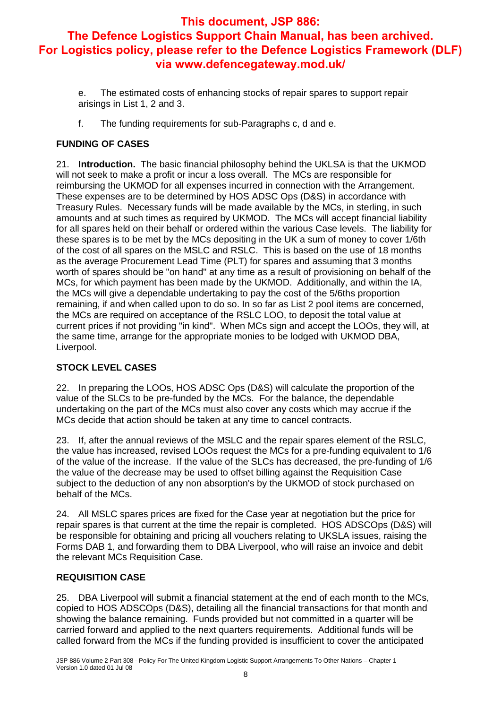- e. The estimated costs of enhancing stocks of repair spares to support repair arisings in List 1, 2 and 3.
- f. The funding requirements for sub-Paragraphs c, d and e.

#### **FUNDING OF CASES**

21. **Introduction.** The basic financial philosophy behind the UKLSA is that the UKMOD will not seek to make a profit or incur a loss overall. The MCs are responsible for reimbursing the UKMOD for all expenses incurred in connection with the Arrangement. These expenses are to be determined by HOS ADSC Ops (D&S) in accordance with Treasury Rules. Necessary funds will be made available by the MCs, in sterling, in such amounts and at such times as required by UKMOD. The MCs will accept financial liability for all spares held on their behalf or ordered within the various Case levels. The liability for these spares is to be met by the MCs depositing in the UK a sum of money to cover 1/6th of the cost of all spares on the MSLC and RSLC. This is based on the use of 18 months as the average Procurement Lead Time (PLT) for spares and assuming that 3 months worth of spares should be "on hand" at any time as a result of provisioning on behalf of the MCs, for which payment has been made by the UKMOD. Additionally, and within the IA, the MCs will give a dependable undertaking to pay the cost of the 5/6ths proportion remaining, if and when called upon to do so. In so far as List 2 pool items are concerned, the MCs are required on acceptance of the RSLC LOO, to deposit the total value at current prices if not providing "in kind". When MCs sign and accept the LOOs, they will, at the same time, arrange for the appropriate monies to be lodged with UKMOD DBA, Liverpool.

#### **STOCK LEVEL CASES**

22. In preparing the LOOs, HOS ADSC Ops (D&S) will calculate the proportion of the value of the SLCs to be pre-funded by the MCs. For the balance, the dependable undertaking on the part of the MCs must also cover any costs which may accrue if the MCs decide that action should be taken at any time to cancel contracts.

23. If, after the annual reviews of the MSLC and the repair spares element of the RSLC, the value has increased, revised LOOs request the MCs for a pre-funding equivalent to 1/6 of the value of the increase. If the value of the SLCs has decreased, the pre-funding of 1/6 the value of the decrease may be used to offset billing against the Requisition Case subject to the deduction of any non absorption's by the UKMOD of stock purchased on behalf of the MCs.

24. All MSLC spares prices are fixed for the Case year at negotiation but the price for repair spares is that current at the time the repair is completed. HOS ADSCOps (D&S) will be responsible for obtaining and pricing all vouchers relating to UKSLA issues, raising the Forms DAB 1, and forwarding them to DBA Liverpool, who will raise an invoice and debit the relevant MCs Requisition Case.

#### **REQUISITION CASE**

25. DBA Liverpool will submit a financial statement at the end of each month to the MCs, copied to HOS ADSCOps (D&S), detailing all the financial transactions for that month and showing the balance remaining. Funds provided but not committed in a quarter will be carried forward and applied to the next quarters requirements. Additional funds will be called forward from the MCs if the funding provided is insufficient to cover the anticipated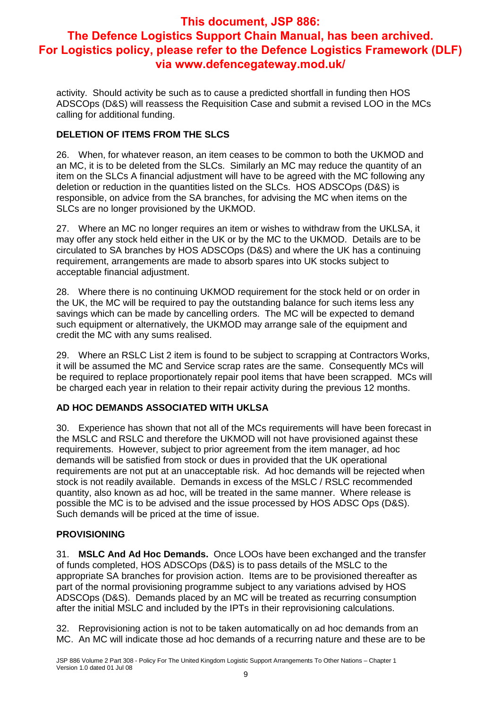activity. Should activity be such as to cause a predicted shortfall in funding then HOS ADSCOps (D&S) will reassess the Requisition Case and submit a revised LOO in the MCs calling for additional funding.

#### **DELETION OF ITEMS FROM THE SLCS**

26. When, for whatever reason, an item ceases to be common to both the UKMOD and an MC, it is to be deleted from the SLCs. Similarly an MC may reduce the quantity of an item on the SLCs A financial adjustment will have to be agreed with the MC following any deletion or reduction in the quantities listed on the SLCs. HOS ADSCOps (D&S) is responsible, on advice from the SA branches, for advising the MC when items on the SLCs are no longer provisioned by the UKMOD.

27. Where an MC no longer requires an item or wishes to withdraw from the UKLSA, it may offer any stock held either in the UK or by the MC to the UKMOD. Details are to be circulated to SA branches by HOS ADSCOps (D&S) and where the UK has a continuing requirement, arrangements are made to absorb spares into UK stocks subject to acceptable financial adjustment.

28. Where there is no continuing UKMOD requirement for the stock held or on order in the UK, the MC will be required to pay the outstanding balance for such items less any savings which can be made by cancelling orders. The MC will be expected to demand such equipment or alternatively, the UKMOD may arrange sale of the equipment and credit the MC with any sums realised.

29. Where an RSLC List 2 item is found to be subject to scrapping at Contractors Works, it will be assumed the MC and Service scrap rates are the same. Consequently MCs will be required to replace proportionately repair pool items that have been scrapped. MCs will be charged each year in relation to their repair activity during the previous 12 months.

#### **AD HOC DEMANDS ASSOCIATED WITH UKLSA**

30. Experience has shown that not all of the MCs requirements will have been forecast in the MSLC and RSLC and therefore the UKMOD will not have provisioned against these requirements. However, subject to prior agreement from the item manager, ad hoc demands will be satisfied from stock or dues in provided that the UK operational requirements are not put at an unacceptable risk. Ad hoc demands will be rejected when stock is not readily available. Demands in excess of the MSLC / RSLC recommended quantity, also known as ad hoc, will be treated in the same manner. Where release is possible the MC is to be advised and the issue processed by HOS ADSC Ops (D&S). Such demands will be priced at the time of issue.

#### **PROVISIONING**

31. **MSLC And Ad Hoc Demands.** Once LOOs have been exchanged and the transfer of funds completed, HOS ADSCOps (D&S) is to pass details of the MSLC to the appropriate SA branches for provision action. Items are to be provisioned thereafter as part of the normal provisioning programme subject to any variations advised by HOS ADSCOps (D&S). Demands placed by an MC will be treated as recurring consumption after the initial MSLC and included by the IPTs in their reprovisioning calculations.

32. Reprovisioning action is not to be taken automatically on ad hoc demands from an MC. An MC will indicate those ad hoc demands of a recurring nature and these are to be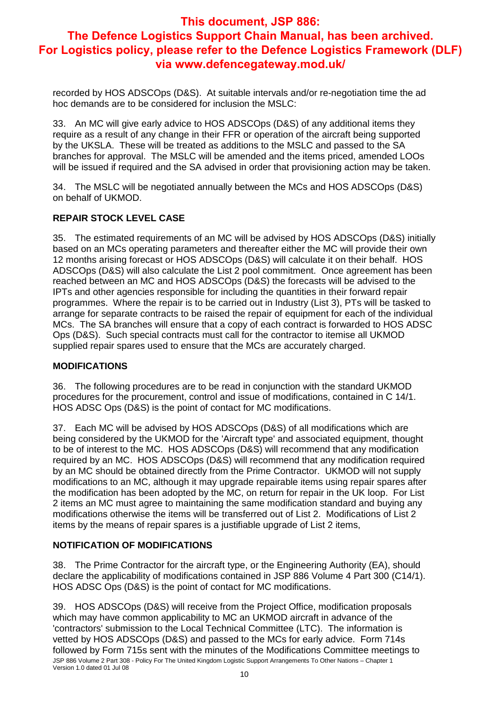recorded by HOS ADSCOps (D&S). At suitable intervals and/or re-negotiation time the ad hoc demands are to be considered for inclusion the MSLC:

33. An MC will give early advice to HOS ADSCOps (D&S) of any additional items they require as a result of any change in their FFR or operation of the aircraft being supported by the UKSLA. These will be treated as additions to the MSLC and passed to the SA branches for approval. The MSLC will be amended and the items priced, amended LOOs will be issued if required and the SA advised in order that provisioning action may be taken.

34. The MSLC will be negotiated annually between the MCs and HOS ADSCOps (D&S) on behalf of UKMOD.

#### **REPAIR STOCK LEVEL CASE**

35. The estimated requirements of an MC will be advised by HOS ADSCOps (D&S) initially based on an MCs operating parameters and thereafter either the MC will provide their own 12 months arising forecast or HOS ADSCOps (D&S) will calculate it on their behalf. HOS ADSCOps (D&S) will also calculate the List 2 pool commitment. Once agreement has been reached between an MC and HOS ADSCOps (D&S) the forecasts will be advised to the IPTs and other agencies responsible for including the quantities in their forward repair programmes. Where the repair is to be carried out in Industry (List 3), PTs will be tasked to arrange for separate contracts to be raised the repair of equipment for each of the individual MCs. The SA branches will ensure that a copy of each contract is forwarded to HOS ADSC Ops (D&S). Such special contracts must call for the contractor to itemise all UKMOD supplied repair spares used to ensure that the MCs are accurately charged.

#### **MODIFICATIONS**

36. The following procedures are to be read in conjunction with the standard UKMOD procedures for the procurement, control and issue of modifications, contained in C 14/1. HOS ADSC Ops (D&S) is the point of contact for MC modifications.

37. Each MC will be advised by HOS ADSCOps (D&S) of all modifications which are being considered by the UKMOD for the 'Aircraft type' and associated equipment, thought to be of interest to the MC. HOS ADSCOps (D&S) will recommend that any modification required by an MC. HOS ADSCOps (D&S) will recommend that any modification required by an MC should be obtained directly from the Prime Contractor. UKMOD will not supply modifications to an MC, although it may upgrade repairable items using repair spares after the modification has been adopted by the MC, on return for repair in the UK loop. For List 2 items an MC must agree to maintaining the same modification standard and buying any modifications otherwise the items will be transferred out of List 2. Modifications of List 2 items by the means of repair spares is a justifiable upgrade of List 2 items,

#### **NOTIFICATION OF MODIFICATIONS**

38. The Prime Contractor for the aircraft type, or the Engineering Authority (EA), should declare the applicability of modifications contained in JSP 886 Volume 4 Part 300 (C14/1). HOS ADSC Ops (D&S) is the point of contact for MC modifications.

JSP 886 Volume 2 Part 308 - Policy For The United Kingdom Logistic Support Arrangements To Other Nations – Chapter 1 Version 1.0 dated 01 Jul 08 39. HOS ADSCOps (D&S) will receive from the Project Office, modification proposals which may have common applicability to MC an UKMOD aircraft in advance of the 'contractors' submission to the Local Technical Committee (LTC). The information is vetted by HOS ADSCOps (D&S) and passed to the MCs for early advice. Form 714s followed by Form 715s sent with the minutes of the Modifications Committee meetings to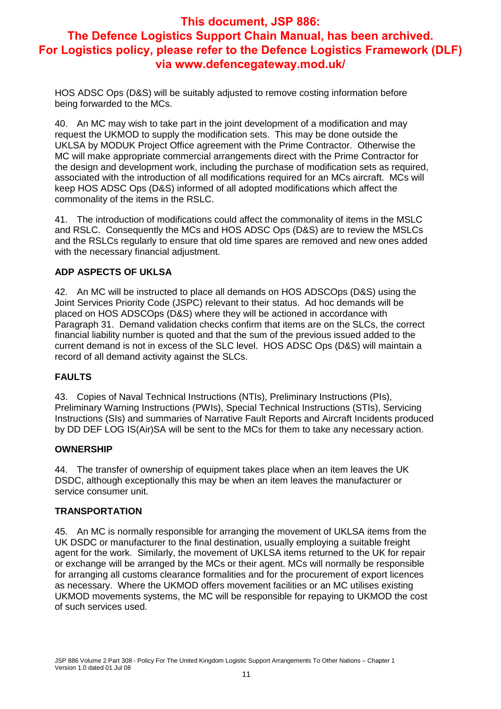HOS ADSC Ops (D&S) will be suitably adjusted to remove costing information before being forwarded to the MCs.

40. An MC may wish to take part in the joint development of a modification and may request the UKMOD to supply the modification sets. This may be done outside the UKLSA by MODUK Project Office agreement with the Prime Contractor. Otherwise the MC will make appropriate commercial arrangements direct with the Prime Contractor for the design and development work, including the purchase of modification sets as required, associated with the introduction of all modifications required for an MCs aircraft. MCs will keep HOS ADSC Ops (D&S) informed of all adopted modifications which affect the commonality of the items in the RSLC.

41. The introduction of modifications could affect the commonality of items in the MSLC and RSLC. Consequently the MCs and HOS ADSC Ops (D&S) are to review the MSLCs and the RSLCs regularly to ensure that old time spares are removed and new ones added with the necessary financial adjustment.

#### **ADP ASPECTS OF UKLSA**

42. An MC will be instructed to place all demands on HOS ADSCOps (D&S) using the Joint Services Priority Code (JSPC) relevant to their status. Ad hoc demands will be placed on HOS ADSCOps (D&S) where they will be actioned in accordance with Paragraph 31. Demand validation checks confirm that items are on the SLCs, the correct financial liability number is quoted and that the sum of the previous issued added to the current demand is not in excess of the SLC level. HOS ADSC Ops (D&S) will maintain a record of all demand activity against the SLCs.

#### **FAULTS**

43. Copies of Naval Technical Instructions (NTIs), Preliminary Instructions (PIs), Preliminary Warning Instructions (PWIs), Special Technical Instructions (STIs), Servicing Instructions (SIs) and summaries of Narrative Fault Reports and Aircraft Incidents produced by DD DEF LOG IS(Air)SA will be sent to the MCs for them to take any necessary action.

#### **OWNERSHIP**

44. The transfer of ownership of equipment takes place when an item leaves the UK DSDC, although exceptionally this may be when an item leaves the manufacturer or service consumer unit.

#### **TRANSPORTATION**

45. An MC is normally responsible for arranging the movement of UKLSA items from the UK DSDC or manufacturer to the final destination, usually employing a suitable freight agent for the work. Similarly, the movement of UKLSA items returned to the UK for repair or exchange will be arranged by the MCs or their agent. MCs will normally be responsible for arranging all customs clearance formalities and for the procurement of export licences as necessary. Where the UKMOD offers movement facilities or an MC utilises existing UKMOD movements systems, the MC will be responsible for repaying to UKMOD the cost of such services used.